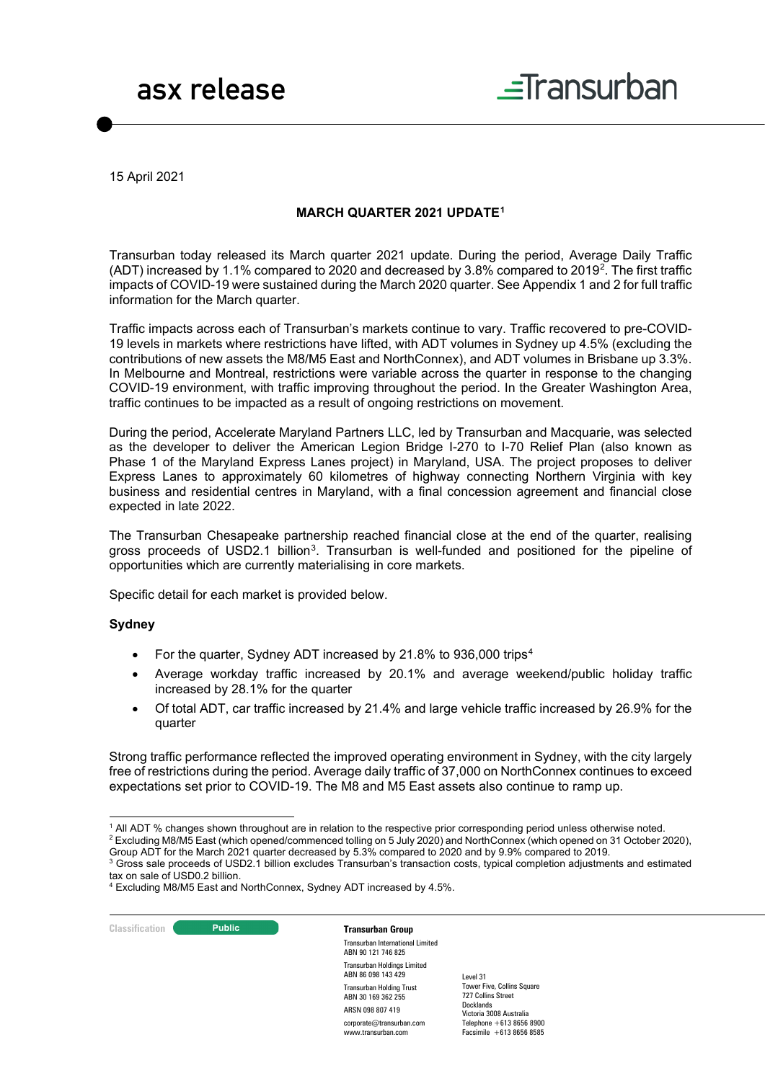# asx release



15 April 2021

# **MARCH QUARTER 2021 UPDATE[1](#page-0-0)**

Transurban today released its March quarter 2021 update. During the period, Average Daily Traffic (ADT) increased by 1.1% compared to 2020 and decreased by 3.8% compared to 2019[2.](#page-0-1) The first traffic impacts of COVID-19 were sustained during the March 2020 quarter. See Appendix 1 and 2 for full traffic information for the March quarter.

Traffic impacts across each of Transurban's markets continue to vary. Traffic recovered to pre-COVID-19 levels in markets where restrictions have lifted, with ADT volumes in Sydney up 4.5% (excluding the contributions of new assets the M8/M5 East and NorthConnex), and ADT volumes in Brisbane up 3.3%. In Melbourne and Montreal, restrictions were variable across the quarter in response to the changing COVID-19 environment, with traffic improving throughout the period. In the Greater Washington Area, traffic continues to be impacted as a result of ongoing restrictions on movement.

During the period, Accelerate Maryland Partners LLC, led by Transurban and Macquarie, was selected as the developer to deliver the American Legion Bridge I-270 to I-70 Relief Plan (also known as Phase 1 of the Maryland Express Lanes project) in Maryland, USA. The project proposes to deliver Express Lanes to approximately 60 kilometres of highway connecting Northern Virginia with key business and residential centres in Maryland, with a final concession agreement and financial close expected in late 2022.

The Transurban Chesapeake partnership reached financial close at the end of the quarter, realising gross proceeds of USD2.1 billion<sup>3</sup>. Transurban is well-funded and positioned for the pipeline of opportunities which are currently materialising in core markets.

Specific detail for each market is provided below.

### **Sydney**

- For the quarter, Sydney ADT increased by 21.8% to 936,000 trips[4](#page-0-3)
- Average workday traffic increased by 20.1% and average weekend/public holiday traffic increased by 28.1% for the quarter
- Of total ADT, car traffic increased by 21.4% and large vehicle traffic increased by 26.9% for the quarter

Strong traffic performance reflected the improved operating environment in Sydney, with the city largely free of restrictions during the period. Average daily traffic of 37,000 on NorthConnex continues to exceed expectations set prior to COVID-19. The M8 and M5 East assets also continue to ramp up.

<span id="page-0-1"></span><span id="page-0-0"></span><sup>2</sup> Excluding M8/M5 East (which opened/commenced tolling on 5 July 2020) and NorthConnex (which opened on 31 October 2020), Group ADT for the March 2021 quarter decreased by 5.3% compared to 2020 and by 9.9% compared to 2019.

<span id="page-0-2"></span> $3$  Gross sale proceeds of USD2.1 billion excludes Transurban's transaction costs, typical completion adjustments and estimated tax on sale of USD0.2 billion.

**Classification Constitution Transurban Group** 

Transurban International Limited ABN 90 121 746 825 Transurban Holdings Limited ABN 86 098 143 429 Transurban Holding Trust ABN 30 169 362 255 ARSN 098 807 419 corporate@transurban.com www.transurban.com

<sup>1</sup> All ADT % changes shown throughout are in relation to the respective prior corresponding period unless otherwise noted.

<span id="page-0-3"></span><sup>4</sup> Excluding M8/M5 East and NorthConnex, Sydney ADT increased by 4.5%.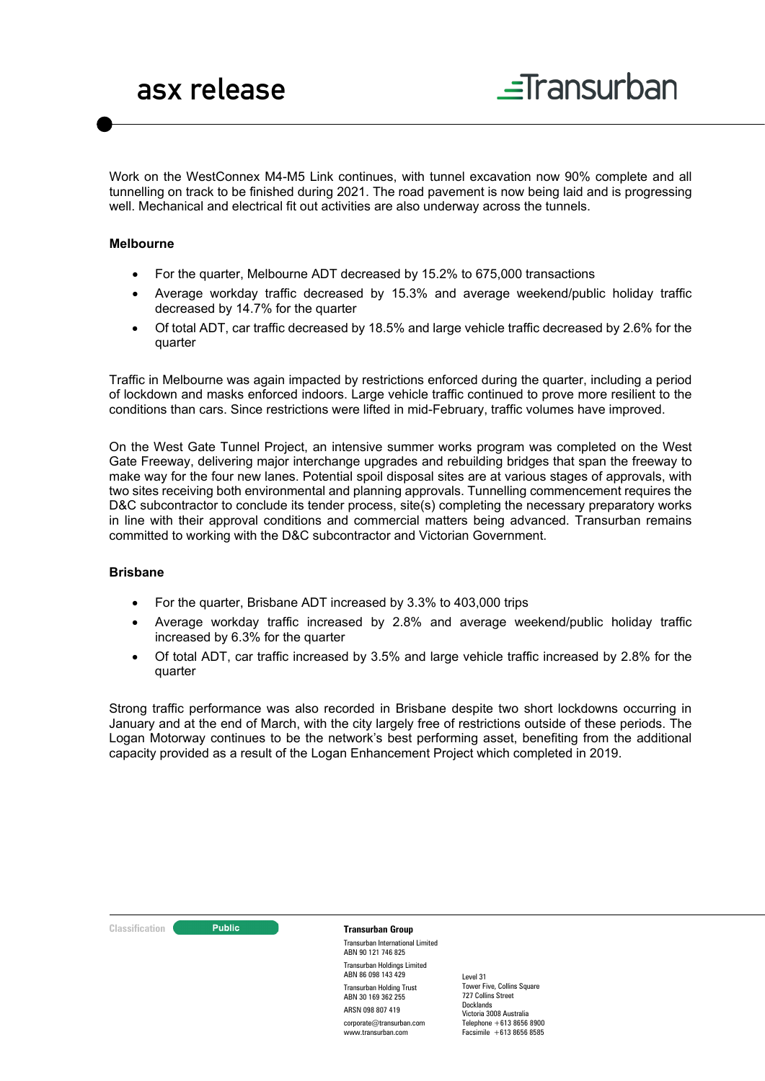Work on the WestConnex M4-M5 Link continues, with tunnel excavation now 90% complete and all tunnelling on track to be finished during 2021. The road pavement is now being laid and is progressing well. Mechanical and electrical fit out activities are also underway across the tunnels.

### **Melbourne**

- For the quarter, Melbourne ADT decreased by 15.2% to 675,000 transactions
- Average workday traffic decreased by 15.3% and average weekend/public holiday traffic decreased by 14.7% for the quarter
- Of total ADT, car traffic decreased by 18.5% and large vehicle traffic decreased by 2.6% for the quarter

Traffic in Melbourne was again impacted by restrictions enforced during the quarter, including a period of lockdown and masks enforced indoors. Large vehicle traffic continued to prove more resilient to the conditions than cars. Since restrictions were lifted in mid-February, traffic volumes have improved.

On the West Gate Tunnel Project, an intensive summer works program was completed on the West Gate Freeway, delivering major interchange upgrades and rebuilding bridges that span the freeway to make way for the four new lanes. Potential spoil disposal sites are at various stages of approvals, with two sites receiving both environmental and planning approvals. Tunnelling commencement requires the D&C subcontractor to conclude its tender process, site(s) completing the necessary preparatory works in line with their approval conditions and commercial matters being advanced. Transurban remains committed to working with the D&C subcontractor and Victorian Government.

## **Brisbane**

- For the quarter, Brisbane ADT increased by 3.3% to 403,000 trips
- Average workday traffic increased by 2.8% and average weekend/public holiday traffic increased by 6.3% for the quarter
- Of total ADT, car traffic increased by 3.5% and large vehicle traffic increased by 2.8% for the quarter

Strong traffic performance was also recorded in Brisbane despite two short lockdowns occurring in January and at the end of March, with the city largely free of restrictions outside of these periods. The Logan Motorway continues to be the network's best performing asset, benefiting from the additional capacity provided as a result of the Logan Enhancement Project which completed in 2019.



Transurban International Limited ABN 90 121 746 825 Transurban Holdings Limited ABN 86 098 143 429 Transurban Holding Trust ABN 30 169 362 255 ARSN 098 807 419 corporate@transurban.com

www.transurban.com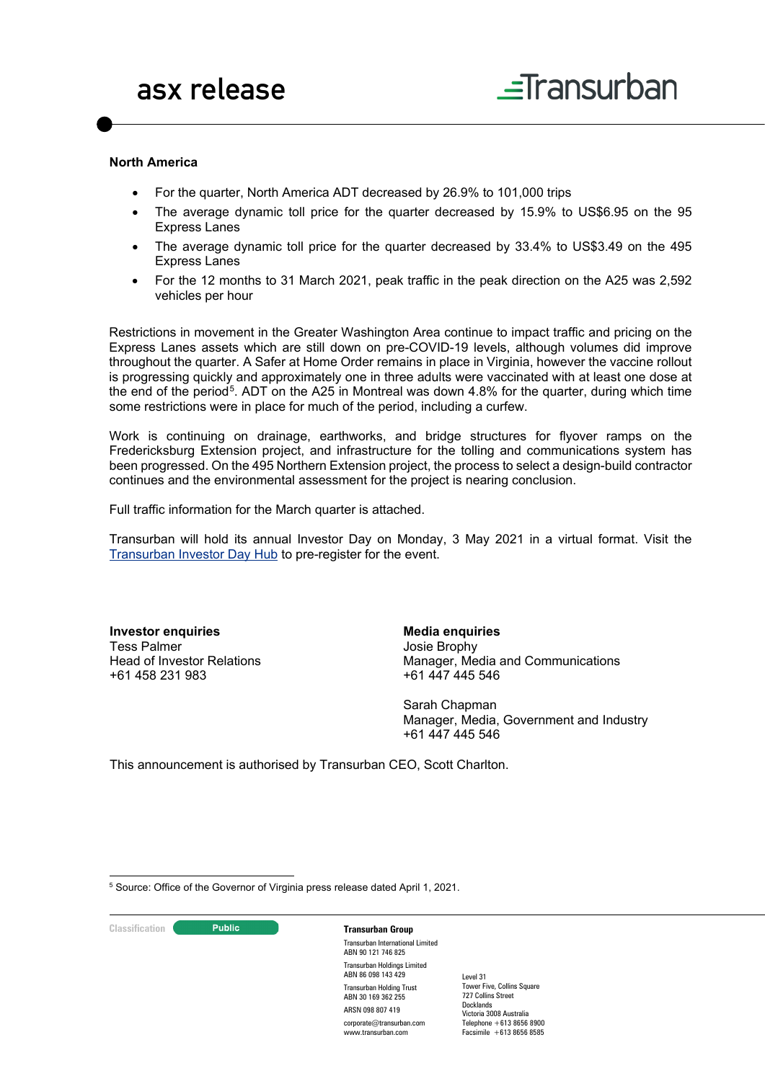#### **North America**

- For the quarter, North America ADT decreased by 26.9% to 101,000 trips
- The average dynamic toll price for the quarter decreased by 15.9% to US\$6.95 on the 95 Express Lanes
- The average dynamic toll price for the quarter decreased by 33.4% to US\$3.49 on the 495 Express Lanes
- For the 12 months to 31 March 2021, peak traffic in the peak direction on the A25 was 2,592 vehicles per hour

Restrictions in movement in the Greater Washington Area continue to impact traffic and pricing on the Express Lanes assets which are still down on pre-COVID-19 levels, although volumes did improve throughout the quarter. A Safer at Home Order remains in place in Virginia, however the vaccine rollout is progressing quickly and approximately one in three adults were vaccinated with at least one dose at the end of the period<sup>[5](#page-2-0)</sup>. ADT on the A25 in Montreal was down 4.8% for the quarter, during which time some restrictions were in place for much of the period, including a curfew.

Work is continuing on drainage, earthworks, and bridge structures for flyover ramps on the Fredericksburg Extension project, and infrastructure for the tolling and communications system has been progressed. On the 495 Northern Extension project, the process to select a design-build contractor continues and the environmental assessment for the project is nearing conclusion.

Full traffic information for the March quarter is attached.

Transurban will hold its annual Investor Day on Monday, 3 May 2021 in a virtual format. Visit the [Transurban Investor Day Hub](https://www.transurban.com/investor-day-2021) to pre-register for the event.

**Investor enquiries** Tess Palmer Head of Investor Relations +61 458 231 983

**Media enquiries** Josie Brophy Manager, Media and Communications +61 447 445 546

Sarah Chapman Manager, Media, Government and Industry +61 447 445 546

This announcement is authorised by Transurban CEO, Scott Charlton.

<span id="page-2-0"></span><sup>5</sup> Source: Office of the Governor of Virginia press release dated April 1, 2021.

**Classification Constitution Transurban Group** 

Transurban International Limited ABN 90 121 746 825 Transurban Holdings Limited ABN 86 098 143 429 Transurban Holding Trust ABN 30 169 362 255 ARSN 098 807 419 corporate@transurban.com www.transurban.com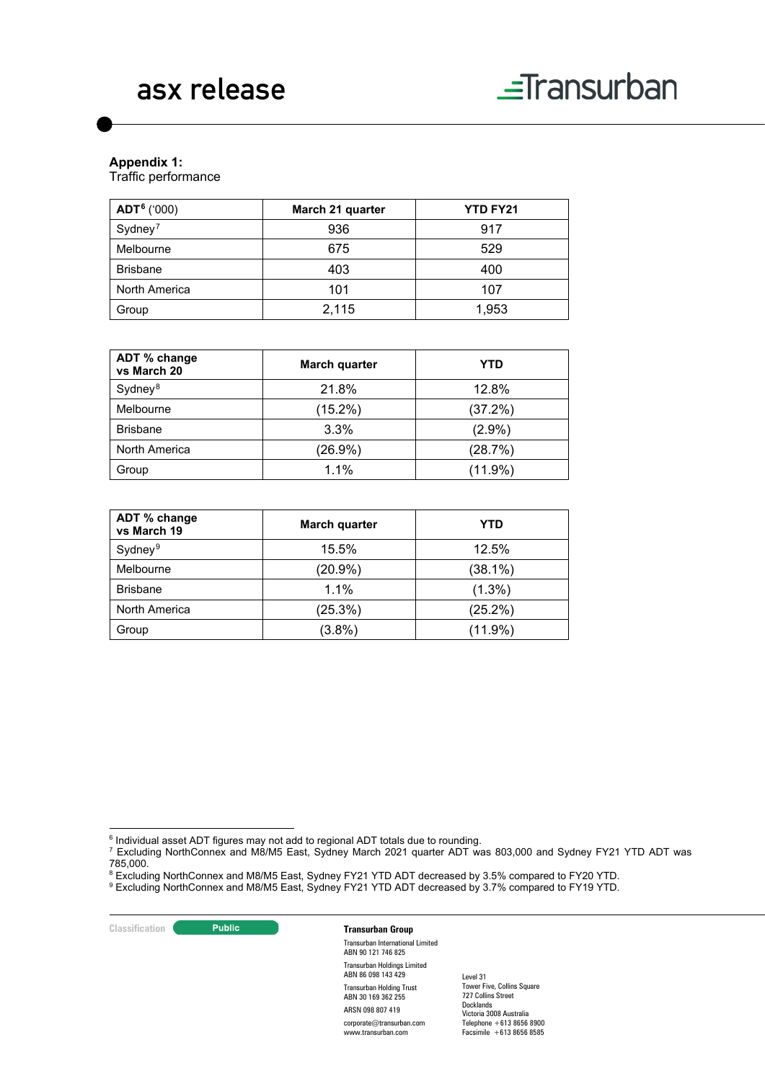

# **Appendix 1:**

Traffic performance

| $ADT6$ ('000)       | March 21 quarter | <b>YTD FY21</b> |
|---------------------|------------------|-----------------|
| Sydney <sup>7</sup> | 936              | 917             |
| Melbourne           | 675              | 529             |
| <b>Brisbane</b>     | 403              | 400             |
| North America       | 101              | 107             |
| Group               | 2,115            | 1,953           |

| ADT % change<br>vs March 20 | March quarter | YTD        |
|-----------------------------|---------------|------------|
| Sydney <sup>8</sup>         | 21.8%         | 12.8%      |
| Melbourne                   | $(15.2\%)$    | (37.2%)    |
| <b>Brisbane</b>             | 3.3%          | $(2.9\%)$  |
| North America               | $(26.9\%)$    | (28.7%)    |
| Group                       | 1.1%          | $(11.9\%)$ |

| ADT % change<br>vs March 19 | March quarter | YTD        |
|-----------------------------|---------------|------------|
| Sydney <sup>9</sup>         | 15.5%         | 12.5%      |
| Melbourne                   | $(20.9\%)$    | $(38.1\%)$ |
| <b>Brisbane</b>             | 1.1%          | $(1.3\%)$  |
| North America               | (25.3%)       | (25.2%)    |
| Group                       | $(3.8\%)$     | $(11.9\%)$ |

- $6$  Individual asset ADT figures may not add to regional ADT totals due to rounding.
- <span id="page-3-1"></span><span id="page-3-0"></span> $^7$  Excluding NorthConnex and M8/M5 East, Sydney March 2021 quarter ADT was 803,000 and Sydney FY21 YTD ADT was 785,000.
- $^8$  Excluding NorthConnex and M8/M5 East, Sydney FY21 YTD ADT decreased by 3.5% compared to FY20 YTD.

<span id="page-3-3"></span><span id="page-3-2"></span> $^9$  Excluding NorthConnex and M8/M5 East, Sydney FY21 YTD ADT decreased by 3.7% compared to FY19 YTD.

#### **Classification Constitution Transurban Group**

Transurban International Limited ABN 90 121 746 825 Transurban Holdings Limited ABN 86 098 143 429 Transurban Holding Trust ABN 30 169 362 255 ARSN 098 807 419 corporate@transurban.com www.transurban.com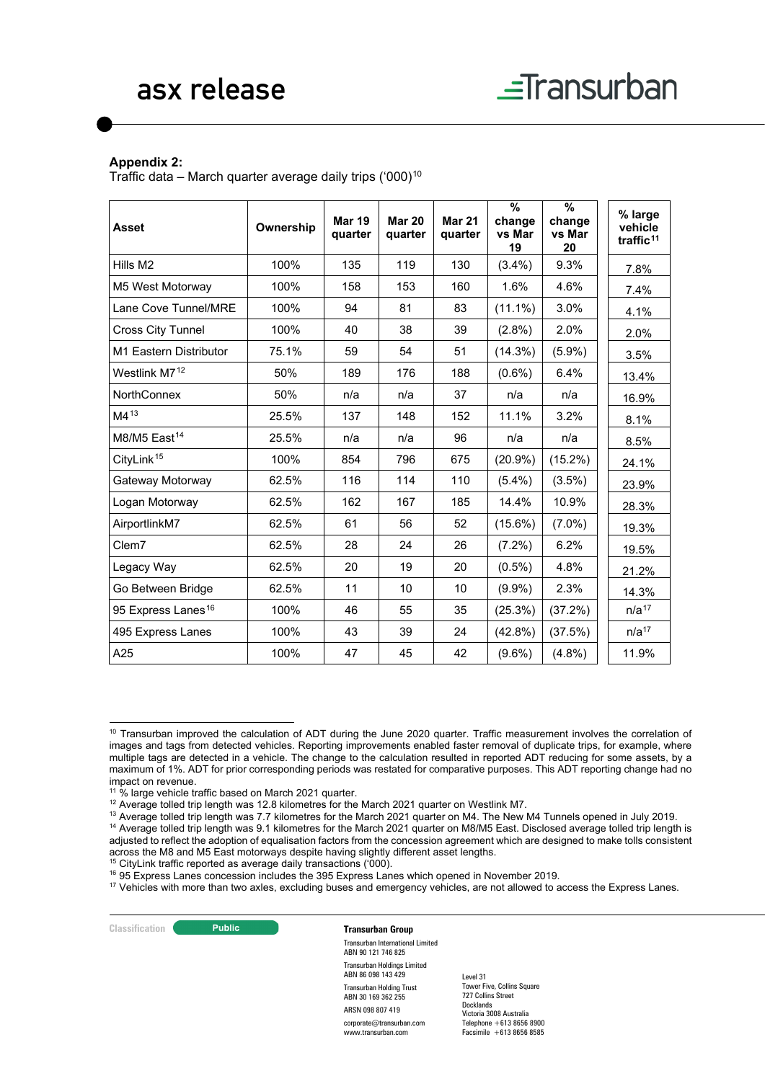#### **Appendix 2:**

Traffic data – March quarter average daily trips  $(000)^{10}$  $(000)^{10}$  $(000)^{10}$ 

| <b>Asset</b>                   | Ownership | <b>Mar 19</b><br>quarter | <b>Mar 20</b><br>quarter | <b>Mar 21</b><br>quarter | %<br>change<br>vs Mar<br>19 | $\frac{9}{6}$<br>change<br>vs Mar<br>20 | % large<br>vehicle<br>traffic <sup>11</sup> |
|--------------------------------|-----------|--------------------------|--------------------------|--------------------------|-----------------------------|-----------------------------------------|---------------------------------------------|
| Hills M <sub>2</sub>           | 100%      | 135                      | 119                      | 130                      | $(3.4\%)$                   | 9.3%                                    | 7.8%                                        |
| M5 West Motorway               | 100%      | 158                      | 153                      | 160                      | 1.6%                        | 4.6%                                    | 7.4%                                        |
| Lane Cove Tunnel/MRE           | 100%      | 94                       | 81                       | 83                       | $(11.1\%)$                  | 3.0%                                    | 4.1%                                        |
| <b>Cross City Tunnel</b>       | 100%      | 40                       | 38                       | 39                       | $(2.8\%)$                   | 2.0%                                    | 2.0%                                        |
| M1 Eastern Distributor         | 75.1%     | 59                       | 54                       | 51                       | $(14.3\%)$                  | $(5.9\%)$                               | 3.5%                                        |
| Westlink M7 <sup>12</sup>      | 50%       | 189                      | 176                      | 188                      | $(0.6\%)$                   | 6.4%                                    | 13.4%                                       |
| <b>NorthConnex</b>             | 50%       | n/a                      | n/a                      | 37                       | n/a                         | n/a                                     | 16.9%                                       |
| $M4^{13}$                      | 25.5%     | 137                      | 148                      | 152                      | 11.1%                       | 3.2%                                    | 8.1%                                        |
| M8/M5 East <sup>14</sup>       | 25.5%     | n/a                      | n/a                      | 96                       | n/a                         | n/a                                     | 8.5%                                        |
| CityLink <sup>15</sup>         | 100%      | 854                      | 796                      | 675                      | $(20.9\%)$                  | $(15.2\%)$                              | 24.1%                                       |
| Gateway Motorway               | 62.5%     | 116                      | 114                      | 110                      | $(5.4\%)$                   | $(3.5\%)$                               | 23.9%                                       |
| Logan Motorway                 | 62.5%     | 162                      | 167                      | 185                      | 14.4%                       | 10.9%                                   | 28.3%                                       |
| AirportlinkM7                  | 62.5%     | 61                       | 56                       | 52                       | $(15.6\%)$                  | $(7.0\%)$                               | 19.3%                                       |
| Clem7                          | 62.5%     | 28                       | 24                       | 26                       | $(7.2\%)$                   | 6.2%                                    | 19.5%                                       |
| Legacy Way                     | 62.5%     | 20                       | 19                       | 20                       | $(0.5\%)$                   | 4.8%                                    | 21.2%                                       |
| Go Between Bridge              | 62.5%     | 11                       | 10                       | 10                       | $(9.9\%)$                   | 2.3%                                    | 14.3%                                       |
| 95 Express Lanes <sup>16</sup> | 100%      | 46                       | 55                       | 35                       | (25.3%)                     | $(37.2\%)$                              | n/a <sup>17</sup>                           |
| 495 Express Lanes              | 100%      | 43                       | 39                       | 24                       | $(42.8\%)$                  | (37.5%)                                 | n/a <sup>17</sup>                           |
| A25                            | 100%      | 47                       | 45                       | 42                       | $(9.6\%)$                   | $(4.8\%)$                               | 11.9%                                       |

<span id="page-4-2"></span><sup>12</sup> Average tolled trip length was 12.8 kilometres for the March 2021 quarter on Westlink M7.

<span id="page-4-5"></span> $15$  CityLink traffic reported as average daily transactions ('000).

**Classification Transurban Group** 

Transurban International Limited ABN 90 121 746 825 Transurban Holdings Limited ABN 86 098 143 429 Transurban Holding Trust ABN 30 169 362 255 ARSN 098 807 419 corporate@transurban.com www.transurban.com

<span id="page-4-0"></span><sup>&</sup>lt;sup>10</sup> Transurban improved the calculation of ADT during the June 2020 quarter. Traffic measurement involves the correlation of images and tags from detected vehicles. Reporting improvements enabled faster removal of duplicate trips, for example, where multiple tags are detected in a vehicle. The change to the calculation resulted in reported ADT reducing for some assets, by a maximum of 1%. ADT for prior corresponding periods was restated for comparative purposes. This ADT reporting change had no impact on revenue.

<span id="page-4-1"></span><sup>&</sup>lt;sup>11</sup> % large vehicle traffic based on March 2021 quarter.

<span id="page-4-4"></span><span id="page-4-3"></span><sup>&</sup>lt;sup>13</sup> Average tolled trip length was 7.7 kilometres for the March 2021 quarter on M4. The New M4 Tunnels opened in July 2019. <sup>14</sup> Average tolled trip length was 9.1 kilometres for the March 2021 quarter on M8/M5 East. Disclosed average tolled trip length is adjusted to reflect the adoption of equalisation factors from the concession agreement which are designed to make tolls consistent across the M8 and M5 East motorways despite having slightly different asset lengths.

<span id="page-4-6"></span><sup>&</sup>lt;sup>16</sup> 95 Express Lanes concession includes the 395 Express Lanes which opened in November 2019.

<span id="page-4-7"></span><sup>&</sup>lt;sup>17</sup> Vehicles with more than two axles, excluding buses and emergency vehicles, are not allowed to access the Express Lanes.